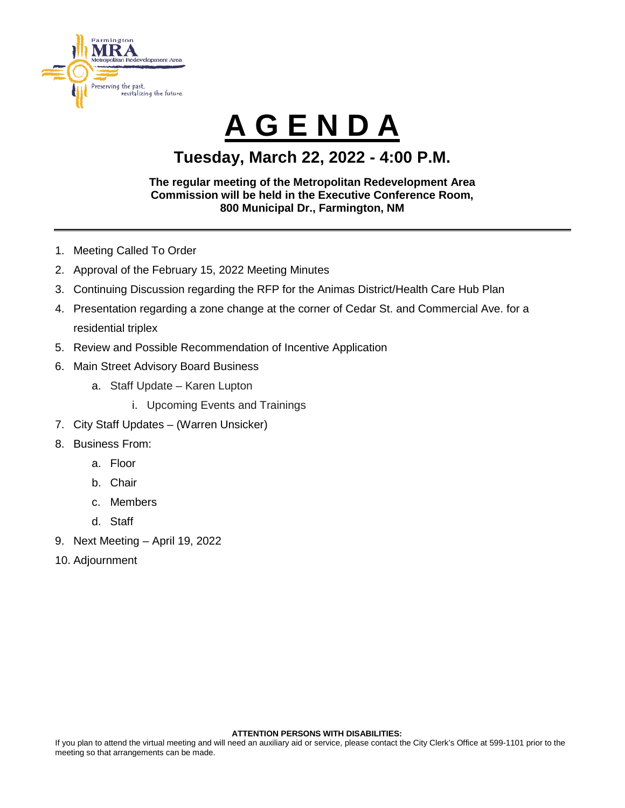

# **A G E N D A**

### **Tuesday, March 22, 2022 - 4:00 P.M.**

#### **The regular meeting of the Metropolitan Redevelopment Area Commission will be held in the Executive Conference Room, 800 Municipal Dr., Farmington, NM**

- 1. Meeting Called To Order
- 2. Approval of the February 15, 2022 Meeting Minutes
- 3. Continuing Discussion regarding the RFP for the Animas District/Health Care Hub Plan
- 4. Presentation regarding a zone change at the corner of Cedar St. and Commercial Ave. for a residential triplex
- 5. Review and Possible Recommendation of Incentive Application
- 6. Main Street Advisory Board Business
	- a. Staff Update Karen Lupton
		- i. Upcoming Events and Trainings
- 7. City Staff Updates (Warren Unsicker)
- 8. Business From:
	- a. Floor
		- b. Chair
	- c. Members
	- d. Staff
- 9. Next Meeting April 19, 2022
- 10. Adjournment

#### **ATTENTION PERSONS WITH DISABILITIES:**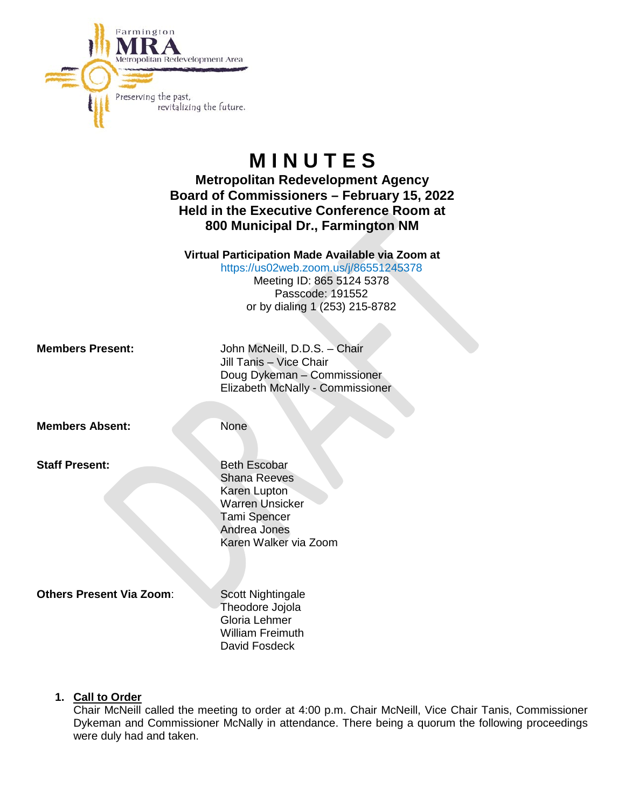

## **M I N U T E S**

**Metropolitan Redevelopment Agency Board of Commissioners – February 15, 2022 Held in the Executive Conference Room at 800 Municipal Dr., Farmington NM**

**Virtual Participation Made Available via Zoom at**

<https://us02web.zoom.us/j/86551245378>

Meeting ID: 865 5124 5378 Passcode: 191552 or by dialing 1 (253) 215-8782

**Members Present:** John McNeill, D.D.S. – Chair Jill Tanis – Vice Chair Doug Dykeman – Commissioner Elizabeth McNally - Commissioner

**Members Absent:** None

**Staff Present:** Beth Escobar

Shana Reeves Karen Lupton Warren Unsicker Tami Spencer Andrea Jones Karen Walker via Zoom

**Others Present Via Zoom:** Scott Nightingale

Theodore Jojola Gloria Lehmer William Freimuth David Fosdeck

#### **1. Call to Order**

Chair McNeill called the meeting to order at 4:00 p.m. Chair McNeill, Vice Chair Tanis, Commissioner Dykeman and Commissioner McNally in attendance. There being a quorum the following proceedings were duly had and taken.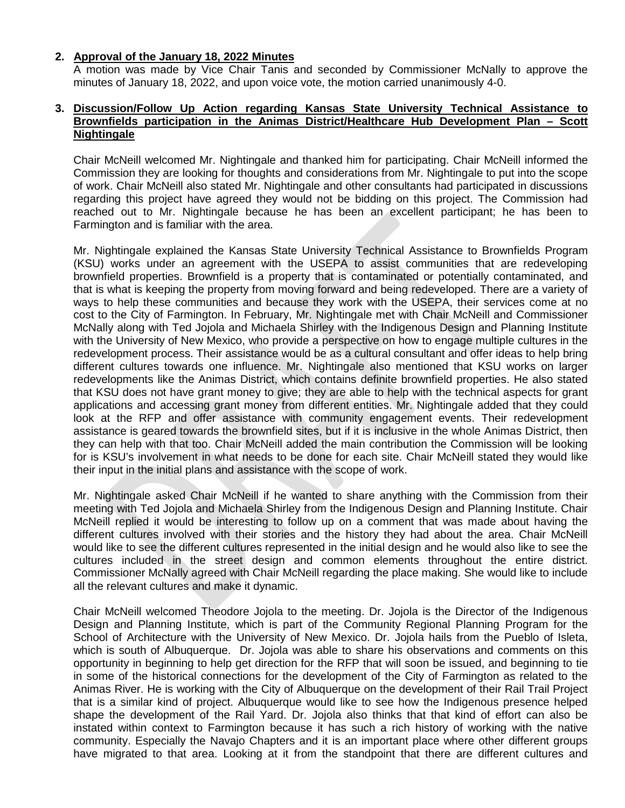#### **2. Approval of the January 18, 2022 Minutes**

A motion was made by Vice Chair Tanis and seconded by Commissioner McNally to approve the minutes of January 18, 2022, and upon voice vote, the motion carried unanimously 4-0.

#### **3. Discussion/Follow Up Action regarding Kansas State University Technical Assistance to Brownfields participation in the Animas District/Healthcare Hub Development Plan – Scott Nightingale**

Chair McNeill welcomed Mr. Nightingale and thanked him for participating. Chair McNeill informed the Commission they are looking for thoughts and considerations from Mr. Nightingale to put into the scope of work. Chair McNeill also stated Mr. Nightingale and other consultants had participated in discussions regarding this project have agreed they would not be bidding on this project. The Commission had reached out to Mr. Nightingale because he has been an excellent participant; he has been to Farmington and is familiar with the area.

Mr. Nightingale explained the Kansas State University Technical Assistance to Brownfields Program (KSU) works under an agreement with the USEPA to assist communities that are redeveloping brownfield properties. Brownfield is a property that is contaminated or potentially contaminated, and that is what is keeping the property from moving forward and being redeveloped. There are a variety of ways to help these communities and because they work with the USEPA, their services come at no cost to the City of Farmington. In February, Mr. Nightingale met with Chair McNeill and Commissioner McNally along with Ted Jojola and Michaela Shirley with the Indigenous Design and Planning Institute with the University of New Mexico, who provide a perspective on how to engage multiple cultures in the redevelopment process. Their assistance would be as a cultural consultant and offer ideas to help bring different cultures towards one influence. Mr. Nightingale also mentioned that KSU works on larger redevelopments like the Animas District, which contains definite brownfield properties. He also stated that KSU does not have grant money to give; they are able to help with the technical aspects for grant applications and accessing grant money from different entities. Mr. Nightingale added that they could look at the RFP and offer assistance with community engagement events. Their redevelopment assistance is geared towards the brownfield sites, but if it is inclusive in the whole Animas District, then they can help with that too. Chair McNeill added the main contribution the Commission will be looking for is KSU's involvement in what needs to be done for each site. Chair McNeill stated they would like their input in the initial plans and assistance with the scope of work.

Mr. Nightingale asked Chair McNeill if he wanted to share anything with the Commission from their meeting with Ted Jojola and Michaela Shirley from the Indigenous Design and Planning Institute. Chair McNeill replied it would be interesting to follow up on a comment that was made about having the different cultures involved with their stories and the history they had about the area. Chair McNeill would like to see the different cultures represented in the initial design and he would also like to see the cultures included in the street design and common elements throughout the entire district. Commissioner McNally agreed with Chair McNeill regarding the place making. She would like to include all the relevant cultures and make it dynamic.

Chair McNeill welcomed Theodore Jojola to the meeting. Dr. Jojola is the Director of the Indigenous Design and Planning Institute, which is part of the Community Regional Planning Program for the School of Architecture with the University of New Mexico. Dr. Jojola hails from the Pueblo of Isleta, which is south of Albuquerque. Dr. Jojola was able to share his observations and comments on this opportunity in beginning to help get direction for the RFP that will soon be issued, and beginning to tie in some of the historical connections for the development of the City of Farmington as related to the Animas River. He is working with the City of Albuquerque on the development of their Rail Trail Project that is a similar kind of project. Albuquerque would like to see how the Indigenous presence helped shape the development of the Rail Yard. Dr. Jojola also thinks that that kind of effort can also be instated within context to Farmington because it has such a rich history of working with the native community. Especially the Navajo Chapters and it is an important place where other different groups have migrated to that area. Looking at it from the standpoint that there are different cultures and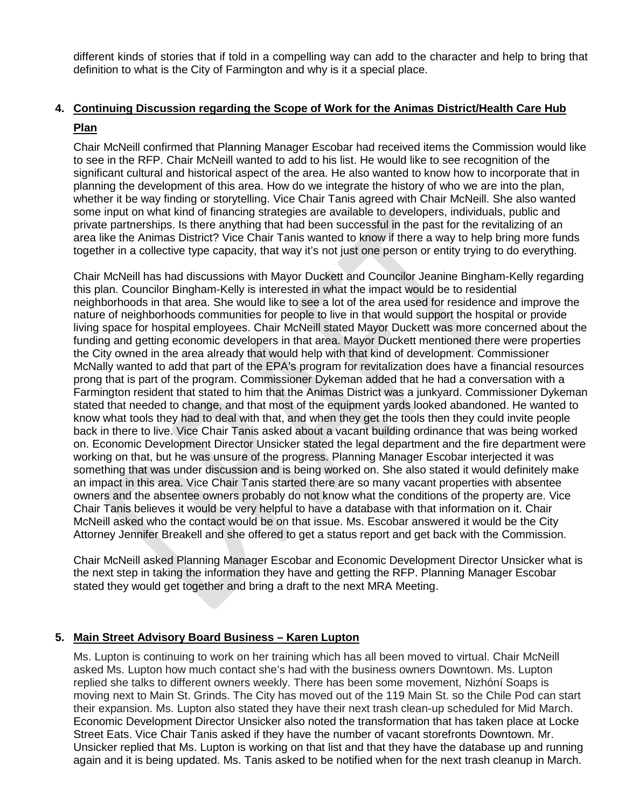different kinds of stories that if told in a compelling way can add to the character and help to bring that definition to what is the City of Farmington and why is it a special place.

#### **4. Continuing Discussion regarding the Scope of Work for the Animas District/Health Care Hub Plan**

Chair McNeill confirmed that Planning Manager Escobar had received items the Commission would like to see in the RFP. Chair McNeill wanted to add to his list. He would like to see recognition of the significant cultural and historical aspect of the area. He also wanted to know how to incorporate that in planning the development of this area. How do we integrate the history of who we are into the plan, whether it be way finding or storytelling. Vice Chair Tanis agreed with Chair McNeill. She also wanted some input on what kind of financing strategies are available to developers, individuals, public and private partnerships. Is there anything that had been successful in the past for the revitalizing of an area like the Animas District? Vice Chair Tanis wanted to know if there a way to help bring more funds together in a collective type capacity, that way it's not just one person or entity trying to do everything.

Chair McNeill has had discussions with Mayor Duckett and Councilor Jeanine Bingham-Kelly regarding this plan. Councilor Bingham-Kelly is interested in what the impact would be to residential neighborhoods in that area. She would like to see a lot of the area used for residence and improve the nature of neighborhoods communities for people to live in that would support the hospital or provide living space for hospital employees. Chair McNeill stated Mayor Duckett was more concerned about the funding and getting economic developers in that area. Mayor Duckett mentioned there were properties the City owned in the area already that would help with that kind of development. Commissioner McNally wanted to add that part of the EPA's program for revitalization does have a financial resources prong that is part of the program. Commissioner Dykeman added that he had a conversation with a Farmington resident that stated to him that the Animas District was a junkyard. Commissioner Dykeman stated that needed to change, and that most of the equipment yards looked abandoned. He wanted to know what tools they had to deal with that, and when they get the tools then they could invite people back in there to live. Vice Chair Tanis asked about a vacant building ordinance that was being worked on. Economic Development Director Unsicker stated the legal department and the fire department were working on that, but he was unsure of the progress. Planning Manager Escobar interjected it was something that was under discussion and is being worked on. She also stated it would definitely make an impact in this area. Vice Chair Tanis started there are so many vacant properties with absentee owners and the absentee owners probably do not know what the conditions of the property are. Vice Chair Tanis believes it would be very helpful to have a database with that information on it. Chair McNeill asked who the contact would be on that issue. Ms. Escobar answered it would be the City Attorney Jennifer Breakell and she offered to get a status report and get back with the Commission.

Chair McNeill asked Planning Manager Escobar and Economic Development Director Unsicker what is the next step in taking the information they have and getting the RFP. Planning Manager Escobar stated they would get together and bring a draft to the next MRA Meeting.

#### **5. Main Street Advisory Board Business – Karen Lupton**

Ms. Lupton is continuing to work on her training which has all been moved to virtual. Chair McNeill asked Ms. Lupton how much contact she's had with the business owners Downtown. Ms. Lupton replied she talks to different owners weekly. There has been some movement, Nizhóní Soaps is moving next to Main St. Grinds. The City has moved out of the 119 Main St. so the Chile Pod can start their expansion. Ms. Lupton also stated they have their next trash clean-up scheduled for Mid March. Economic Development Director Unsicker also noted the transformation that has taken place at Locke Street Eats. Vice Chair Tanis asked if they have the number of vacant storefronts Downtown. Mr. Unsicker replied that Ms. Lupton is working on that list and that they have the database up and running again and it is being updated. Ms. Tanis asked to be notified when for the next trash cleanup in March.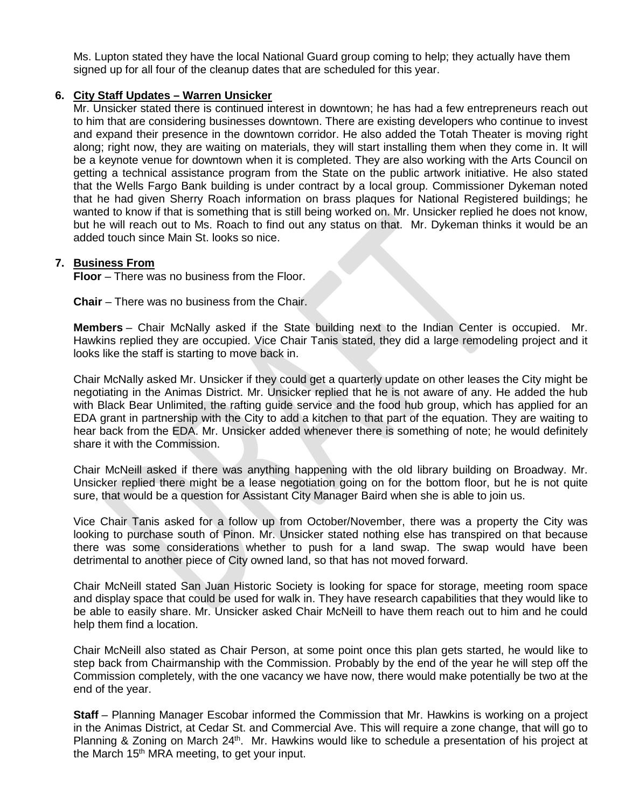Ms. Lupton stated they have the local National Guard group coming to help; they actually have them signed up for all four of the cleanup dates that are scheduled for this year.

#### **6. City Staff Updates – Warren Unsicker**

Mr. Unsicker stated there is continued interest in downtown; he has had a few entrepreneurs reach out to him that are considering businesses downtown. There are existing developers who continue to invest and expand their presence in the downtown corridor. He also added the Totah Theater is moving right along; right now, they are waiting on materials, they will start installing them when they come in. It will be a keynote venue for downtown when it is completed. They are also working with the Arts Council on getting a technical assistance program from the State on the public artwork initiative. He also stated that the Wells Fargo Bank building is under contract by a local group. Commissioner Dykeman noted that he had given Sherry Roach information on brass plaques for National Registered buildings; he wanted to know if that is something that is still being worked on. Mr. Unsicker replied he does not know, but he will reach out to Ms. Roach to find out any status on that. Mr. Dykeman thinks it would be an added touch since Main St. looks so nice.

#### **7. Business From**

**Floor** – There was no business from the Floor.

**Chair** – There was no business from the Chair.

**Members** – Chair McNally asked if the State building next to the Indian Center is occupied. Mr. Hawkins replied they are occupied. Vice Chair Tanis stated, they did a large remodeling project and it looks like the staff is starting to move back in.

Chair McNally asked Mr. Unsicker if they could get a quarterly update on other leases the City might be negotiating in the Animas District. Mr. Unsicker replied that he is not aware of any. He added the hub with Black Bear Unlimited, the rafting guide service and the food hub group, which has applied for an EDA grant in partnership with the City to add a kitchen to that part of the equation. They are waiting to hear back from the EDA. Mr. Unsicker added whenever there is something of note; he would definitely share it with the Commission.

Chair McNeill asked if there was anything happening with the old library building on Broadway. Mr. Unsicker replied there might be a lease negotiation going on for the bottom floor, but he is not quite sure, that would be a question for Assistant City Manager Baird when she is able to join us.

Vice Chair Tanis asked for a follow up from October/November, there was a property the City was looking to purchase south of Pinon. Mr. Unsicker stated nothing else has transpired on that because there was some considerations whether to push for a land swap. The swap would have been detrimental to another piece of City owned land, so that has not moved forward.

Chair McNeill stated San Juan Historic Society is looking for space for storage, meeting room space and display space that could be used for walk in. They have research capabilities that they would like to be able to easily share. Mr. Unsicker asked Chair McNeill to have them reach out to him and he could help them find a location.

Chair McNeill also stated as Chair Person, at some point once this plan gets started, he would like to step back from Chairmanship with the Commission. Probably by the end of the year he will step off the Commission completely, with the one vacancy we have now, there would make potentially be two at the end of the year.

**Staff** – Planning Manager Escobar informed the Commission that Mr. Hawkins is working on a project in the Animas District, at Cedar St. and Commercial Ave. This will require a zone change, that will go to Planning & Zoning on March 24<sup>th</sup>. Mr. Hawkins would like to schedule a presentation of his project at the March 15<sup>th</sup> MRA meeting, to get your input.